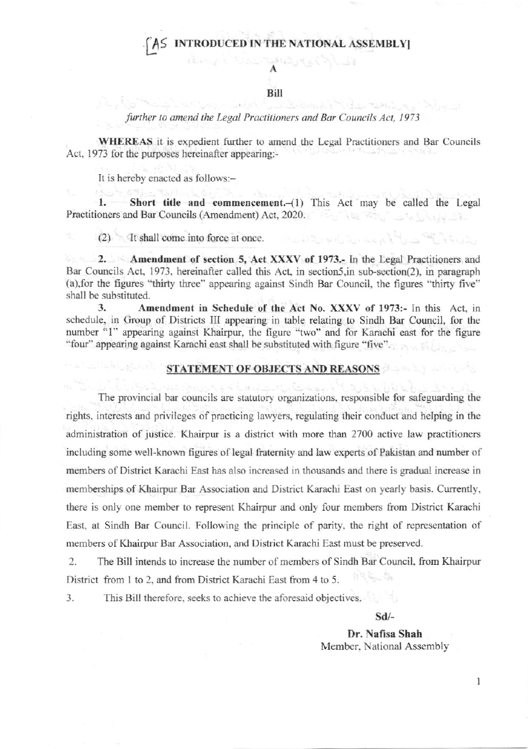## AS INTRODUCED IN THE NATIONAL ASSEMBLY

## Bill

## further to amend the Legal Practitioners and Bar Councils Act, 1973

**WHEREAS** it is expedient further to amend the Legal Practitioners and Bar Councils Act, 1973 for the purposes hereinafter appearing:-

It is hereby enacted as follows:-

Short title and commencement.-(1) This Act may be called the Legal 1. Practitioners and Bar Councils (Amendment) Act, 2020.

(2) It shall come into force at once.

2. Amendment of section 5, Act XXXV of 1973.- In the Legal Practitioners and Bar Councils Act, 1973, hereinafter called this Act, in section5, in sub-section(2), in paragraph (a), for the figures "thirty three" appearing against Sindh Bar Council, the figures "thirty five" shall be substituted.

3. Amendment in Schedule of the Act No. XXXV of 1973:- In this Act, in schedule, in Group of Districts III appearing in table relating to Sindh Bar Council, for the number "1" appearing against Khairpur, the figure "two" and for Karachi east for the figure "four" appearing against Karachi east shall be substituted with figure "five".

## **STATEMENT OF OBJECTS AND REASONS SERVICES**

The provincial bar councils are statutory organizations, responsible for safeguarding the rights, interests and privileges of practicing lawyers, regulating their conduct and helping in the administration of justice. Khairpur is a district with more than 2700 active law practitioners including some well-known figures of legal fraternity and law experts of Pakistan and number of members of District Karachi East has also increased in thousands and there is gradual increase in memberships of Khairpur Bar Association and District Karachi East on yearly basis. Currently, there is only one member to represent Khairpur and only four members from District Karachi East, at Sindh Bar Council. Following the principle of parity, the right of representation of members of Khairpur Bar Association, and District Karachi East must be preserved.

2. The Bill intends to increase the number of members of Sindh Bar Council, from Khairpur District from 1 to 2, and from District Karachi East from 4 to 5.

3. This Bill therefore, seeks to achieve the aforesaid objectives.

Sd/-

المحاولة أنسته المتعاقبة

verator

Dr. Nafisa Shah Member, National Assembly

 $\mathbf{1}$